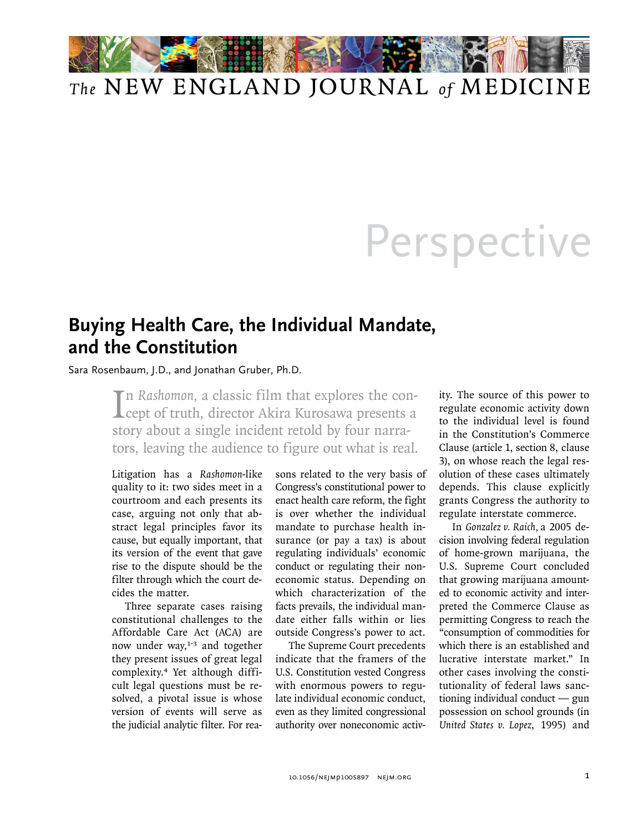## *The* NEW ENGLAND JOURNAL *of* MEDICINE

## **Perspective**

## **Buying Health Care, the Individual Mandate, and the Constitution**

Sara Rosenbaum, J.D., and Jonathan Gruber, Ph.D.

In Rashomon, a classic film that explores the con-<br>cept of truth, director Akira Kurosawa presents a n *Rashomon,* a classic film that explores the constory about a single incident retold by four narrators, leaving the audience to figure out what is real.

Litigation has a *Rashomon-*like quality to it: two sides meet in a courtroom and each presents its case, arguing not only that abstract legal principles favor its cause, but equally important, that its version of the event that gave rise to the dispute should be the filter through which the court decides the matter.

Three separate cases raising constitutional challenges to the Affordable Care Act (ACA) are now under way, $1-3$  and together they present issues of great legal complexity.4 Yet although difficult legal questions must be resolved, a pivotal issue is whose version of events will serve as the judicial analytic filter. For reasons related to the very basis of Congress's constitutional power to enact health care reform, the fight is over whether the individual mandate to purchase health insurance (or pay a tax) is about regulating individuals' economic conduct or regulating their noneconomic status. Depending on which characterization of the facts prevails, the individual mandate either falls within or lies outside Congress's power to act.

The Supreme Court precedents indicate that the framers of the U.S. Constitution vested Congress with enormous powers to regulate individual economic conduct, even as they limited congressional authority over noneconomic activ-

ity. The source of this power to regulate economic activity down to the individual level is found in the Constitution's Commerce Clause (article 1, section 8, clause 3), on whose reach the legal resolution of these cases ultimately depends. This clause explicitly grants Congress the authority to regulate interstate commerce.

In *Gonzalez v. Raich,* a 2005 decision involving federal regulation of home-grown marijuana, the U.S. Supreme Court concluded that growing marijuana amounted to economic activity and interpreted the Commerce Clause as permitting Congress to reach the "consumption of commodities for which there is an established and lucrative interstate market." In other cases involving the constitutionality of federal laws sanctioning individual conduct — gun possession on school grounds (in *United States v. Lopez*, 1995) and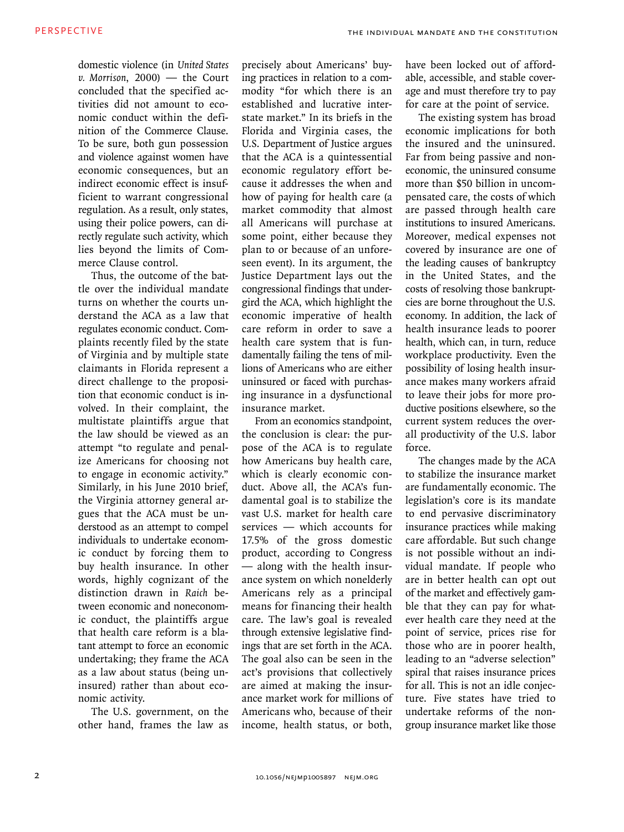domestic violence (in *United States v. Morrison*, 2000) — the Court concluded that the specified activities did not amount to economic conduct within the definition of the Commerce Clause. To be sure, both gun possession and violence against women have economic consequences, but an indirect economic effect is insufficient to warrant congressional regulation. As a result, only states, using their police powers, can directly regulate such activity, which lies beyond the limits of Commerce Clause control.

Thus, the outcome of the battle over the individual mandate turns on whether the courts understand the ACA as a law that regulates economic conduct. Complaints recently filed by the state of Virginia and by multiple state claimants in Florida represent a direct challenge to the proposition that economic conduct is involved. In their complaint, the multistate plaintiffs argue that the law should be viewed as an attempt "to regulate and penalize Americans for choosing not to engage in economic activity." Similarly, in his June 2010 brief, the Virginia attorney general argues that the ACA must be understood as an attempt to compel individuals to undertake economic conduct by forcing them to buy health insurance. In other words, highly cognizant of the distinction drawn in *Raich* between economic and noneconomic conduct, the plaintiffs argue that health care reform is a blatant attempt to force an economic undertaking; they frame the ACA as a law about status (being uninsured) rather than about economic activity.

The U.S. government, on the other hand, frames the law as

precisely about Americans' buying practices in relation to a commodity "for which there is an established and lucrative interstate market." In its briefs in the Florida and Virginia cases, the U.S. Department of Justice argues that the ACA is a quintessential economic regulatory effort because it addresses the when and how of paying for health care (a market commodity that almost all Americans will purchase at some point, either because they plan to or because of an unforeseen event). In its argument, the Justice Department lays out the congressional findings that undergird the ACA, which highlight the economic imperative of health care reform in order to save a health care system that is fundamentally failing the tens of millions of Americans who are either uninsured or faced with purchasing insurance in a dysfunctional insurance market.

From an economics standpoint, the conclusion is clear: the purpose of the ACA is to regulate how Americans buy health care, which is clearly economic conduct. Above all, the ACA's fundamental goal is to stabilize the vast U.S. market for health care services — which accounts for 17.5% of the gross domestic product, according to Congress — along with the health insurance system on which nonelderly Americans rely as a principal means for financing their health care. The law's goal is revealed through extensive legislative findings that are set forth in the ACA. The goal also can be seen in the act's provisions that collectively are aimed at making the insurance market work for millions of Americans who, because of their income, health status, or both,

have been locked out of affordable, accessible, and stable coverage and must therefore try to pay for care at the point of service.

The existing system has broad economic implications for both the insured and the uninsured. Far from being passive and noneconomic, the uninsured consume more than \$50 billion in uncompensated care, the costs of which are passed through health care institutions to insured Americans. Moreover, medical expenses not covered by insurance are one of the leading causes of bankruptcy in the United States, and the costs of resolving those bankruptcies are borne throughout the U.S. economy. In addition, the lack of health insurance leads to poorer health, which can, in turn, reduce workplace productivity. Even the possibility of losing health insurance makes many workers afraid to leave their jobs for more productive positions elsewhere, so the current system reduces the overall productivity of the U.S. labor force.

The changes made by the ACA to stabilize the insurance market are fundamentally economic. The legislation's core is its mandate to end pervasive discriminatory insurance practices while making care affordable. But such change is not possible without an individual mandate. If people who are in better health can opt out of the market and effectively gamble that they can pay for whatever health care they need at the point of service, prices rise for those who are in poorer health, leading to an "adverse selection" spiral that raises insurance prices for all. This is not an idle conjecture. Five states have tried to undertake reforms of the nongroup insurance market like those